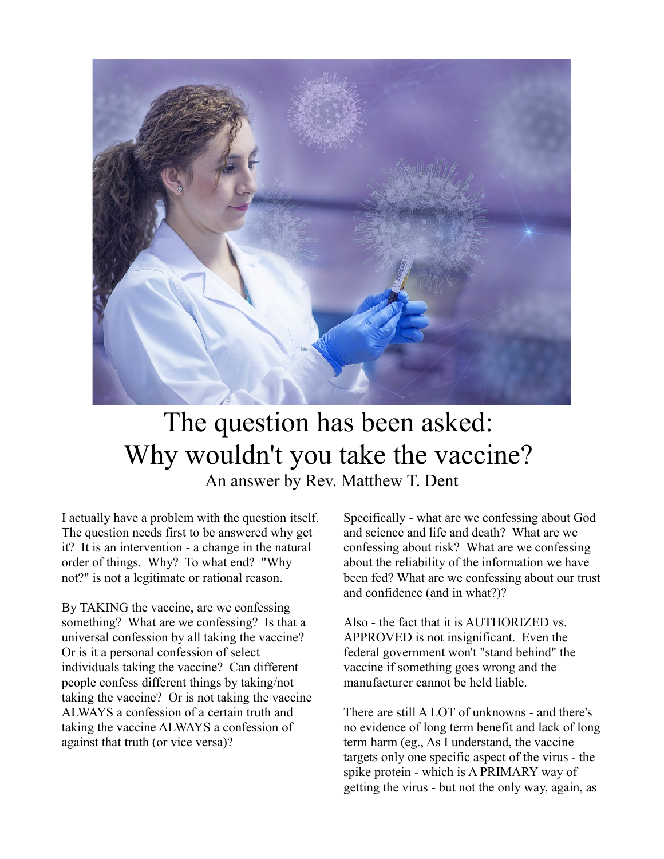

## The question has been asked: Why wouldn't you take the vaccine? An answer by Rev. Matthew T. Dent

I actually have a problem with the question itself. The question needs first to be answered why get it? It is an intervention - a change in the natural order of things. Why? To what end? "Why not?" is not a legitimate or rational reason.

By TAKING the vaccine, are we confessing something? What are we confessing? Is that a universal confession by all taking the vaccine? Or is it a personal confession of select individuals taking the vaccine? Can different people confess different things by taking/not taking the vaccine? Or is not taking the vaccine ALWAYS a confession of a certain truth and taking the vaccine ALWAYS a confession of against that truth (or vice versa)?

Specifically - what are we confessing about God and science and life and death? What are we confessing about risk? What are we confessing about the reliability of the information we have been fed? What are we confessing about our trust and confidence (and in what?)?

Also - the fact that it is AUTHORIZED vs. APPROVED is not insignificant. Even the federal government won't "stand behind" the vaccine if something goes wrong and the manufacturer cannot be held liable.

There are still A LOT of unknowns - and there's no evidence of long term benefit and lack of long term harm (eg., As I understand, the vaccine targets only one specific aspect of the virus - the spike protein - which is A PRIMARY way of getting the virus - but not the only way, again, as